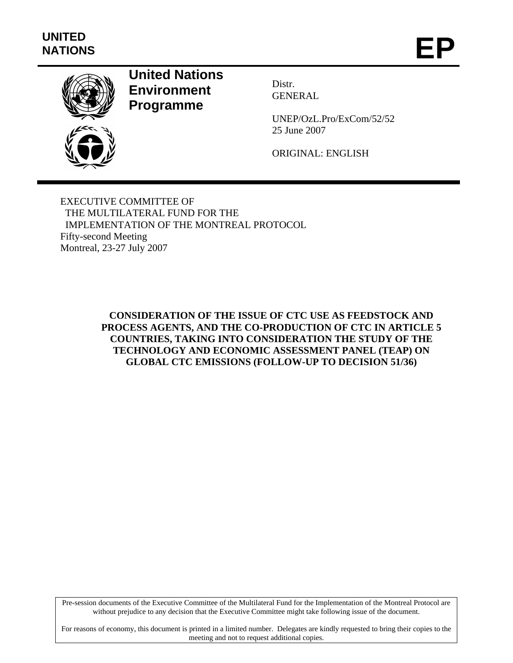

## **United Nations Environment Programme**

Distr. GENERAL

UNEP/OzL.Pro/ExCom/52/52 25 June 2007

ORIGINAL: ENGLISH

EXECUTIVE COMMITTEE OF THE MULTILATERAL FUND FOR THE IMPLEMENTATION OF THE MONTREAL PROTOCOL Fifty-second Meeting Montreal, 23-27 July 2007

> **CONSIDERATION OF THE ISSUE OF CTC USE AS FEEDSTOCK AND PROCESS AGENTS, AND THE CO-PRODUCTION OF CTC IN ARTICLE 5 COUNTRIES, TAKING INTO CONSIDERATION THE STUDY OF THE TECHNOLOGY AND ECONOMIC ASSESSMENT PANEL (TEAP) ON GLOBAL CTC EMISSIONS (FOLLOW-UP TO DECISION 51/36)**

Pre-session documents of the Executive Committee of the Multilateral Fund for the Implementation of the Montreal Protocol are without prejudice to any decision that the Executive Committee might take following issue of the document.

For reasons of economy, this document is printed in a limited number. Delegates are kindly requested to bring their copies to the meeting and not to request additional copies.